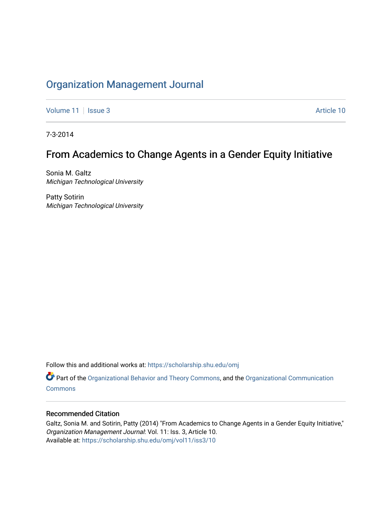## [Organization Management Journal](https://scholarship.shu.edu/omj)

[Volume 11](https://scholarship.shu.edu/omj/vol11) | [Issue 3](https://scholarship.shu.edu/omj/vol11/iss3) Article 10

7-3-2014

# From Academics to Change Agents in a Gender Equity Initiative

Sonia M. Galtz Michigan Technological University

Patty Sotirin Michigan Technological University

Follow this and additional works at: [https://scholarship.shu.edu/omj](https://scholarship.shu.edu/omj?utm_source=scholarship.shu.edu%2Fomj%2Fvol11%2Fiss3%2F10&utm_medium=PDF&utm_campaign=PDFCoverPages) 

Part of the [Organizational Behavior and Theory Commons,](http://network.bepress.com/hgg/discipline/639?utm_source=scholarship.shu.edu%2Fomj%2Fvol11%2Fiss3%2F10&utm_medium=PDF&utm_campaign=PDFCoverPages) and the [Organizational Communication](http://network.bepress.com/hgg/discipline/335?utm_source=scholarship.shu.edu%2Fomj%2Fvol11%2Fiss3%2F10&utm_medium=PDF&utm_campaign=PDFCoverPages) **[Commons](http://network.bepress.com/hgg/discipline/335?utm_source=scholarship.shu.edu%2Fomj%2Fvol11%2Fiss3%2F10&utm_medium=PDF&utm_campaign=PDFCoverPages)** 

#### Recommended Citation

Galtz, Sonia M. and Sotirin, Patty (2014) "From Academics to Change Agents in a Gender Equity Initiative," Organization Management Journal: Vol. 11: Iss. 3, Article 10. Available at: [https://scholarship.shu.edu/omj/vol11/iss3/10](https://scholarship.shu.edu/omj/vol11/iss3/10?utm_source=scholarship.shu.edu%2Fomj%2Fvol11%2Fiss3%2F10&utm_medium=PDF&utm_campaign=PDFCoverPages)